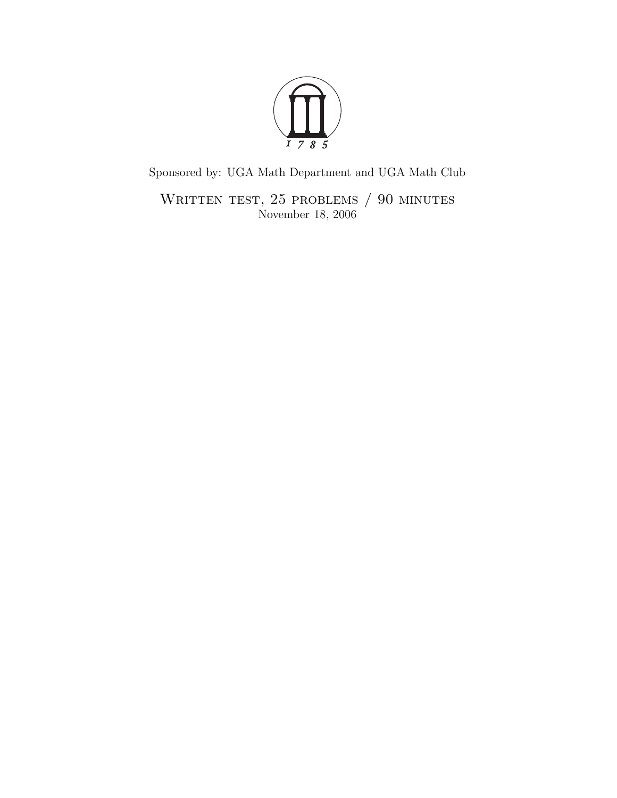

Sponsored by: UGA Math Department and UGA Math Club

WRITTEN TEST, 25 PROBLEMS / 90 MINUTES November 18, 2006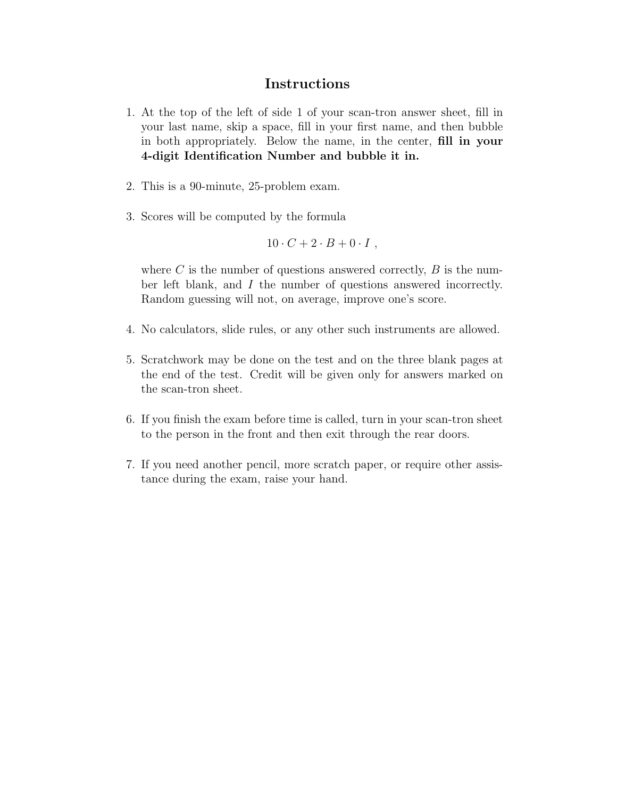## Instructions

- 1. At the top of the left of side 1 of your scan-tron answer sheet, fill in your last name, skip a space, fill in your first name, and then bubble in both appropriately. Below the name, in the center, fill in your 4-digit Identification Number and bubble it in.
- 2. This is a 90-minute, 25-problem exam.
- 3. Scores will be computed by the formula

$$
10 \cdot C + 2 \cdot B + 0 \cdot I \; ,
$$

where  $C$  is the number of questions answered correctly,  $B$  is the number left blank, and I the number of questions answered incorrectly. Random guessing will not, on average, improve one's score.

- 4. No calculators, slide rules, or any other such instruments are allowed.
- 5. Scratchwork may be done on the test and on the three blank pages at the end of the test. Credit will be given only for answers marked on the scan-tron sheet.
- 6. If you finish the exam before time is called, turn in your scan-tron sheet to the person in the front and then exit through the rear doors.
- 7. If you need another pencil, more scratch paper, or require other assistance during the exam, raise your hand.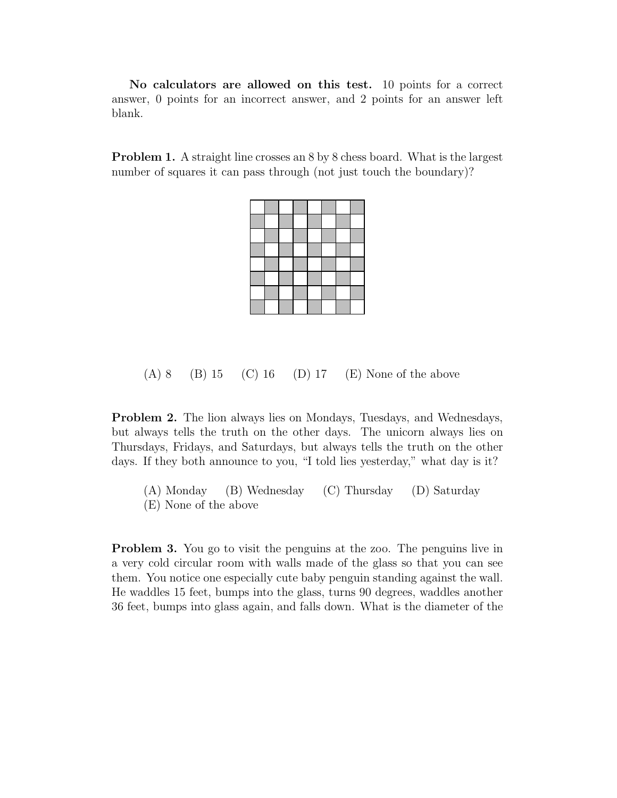No calculators are allowed on this test. 10 points for a correct answer, 0 points for an incorrect answer, and 2 points for an answer left blank.

Problem 1. A straight line crosses an 8 by 8 chess board. What is the largest number of squares it can pass through (not just touch the boundary)?



## $(A) 8$  (B) 15 (C) 16 (D) 17 (E) None of the above

Problem 2. The lion always lies on Mondays, Tuesdays, and Wednesdays, but always tells the truth on the other days. The unicorn always lies on Thursdays, Fridays, and Saturdays, but always tells the truth on the other days. If they both announce to you, "I told lies yesterday," what day is it?

(A) Monday (B) Wednesday (C) Thursday (D) Saturday (E) None of the above

Problem 3. You go to visit the penguins at the zoo. The penguins live in a very cold circular room with walls made of the glass so that you can see them. You notice one especially cute baby penguin standing against the wall. He waddles 15 feet, bumps into the glass, turns 90 degrees, waddles another 36 feet, bumps into glass again, and falls down. What is the diameter of the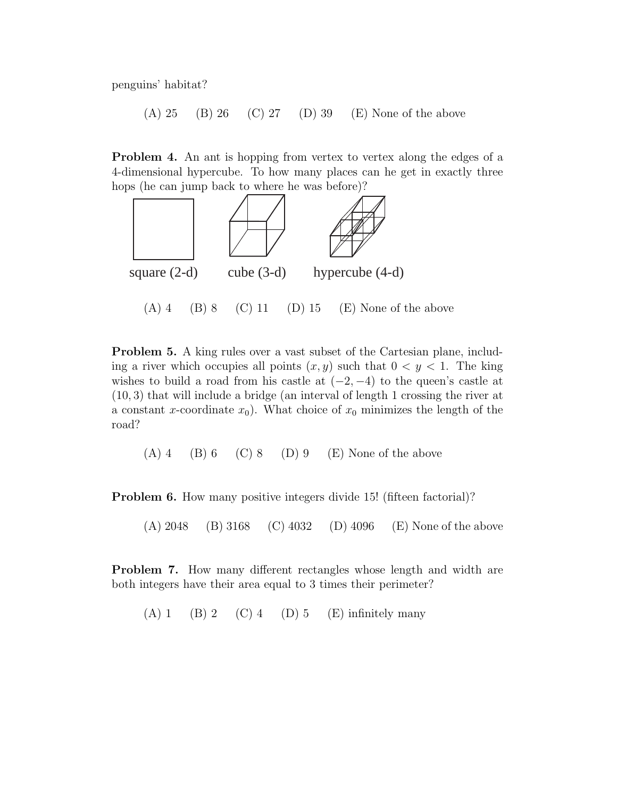penguins' habitat?

(A) 25 (B) 26 (C) 27 (D) 39 (E) None of the above

Problem 4. An ant is hopping from vertex to vertex along the edges of a 4-dimensional hypercube. To how many places can he get in exactly three hops (he can jump back to where he was before)?



Problem 5. A king rules over a vast subset of the Cartesian plane, including a river which occupies all points  $(x, y)$  such that  $0 < y < 1$ . The king wishes to build a road from his castle at  $(-2, -4)$  to the queen's castle at (10, 3) that will include a bridge (an interval of length 1 crossing the river at a constant x-coordinate  $x_0$ ). What choice of  $x_0$  minimizes the length of the road?

 $(A)$  4 (B) 6 (C) 8 (D) 9 (E) None of the above

**Problem 6.** How many positive integers divide 15! (fifteen factorial)?

(A) 2048 (B) 3168 (C) 4032 (D) 4096 (E) None of the above

Problem 7. How many different rectangles whose length and width are both integers have their area equal to 3 times their perimeter?

 $(A) 1 \t(B) 2 \t(C) 4 \t(D) 5 \t(E)$  infinitely many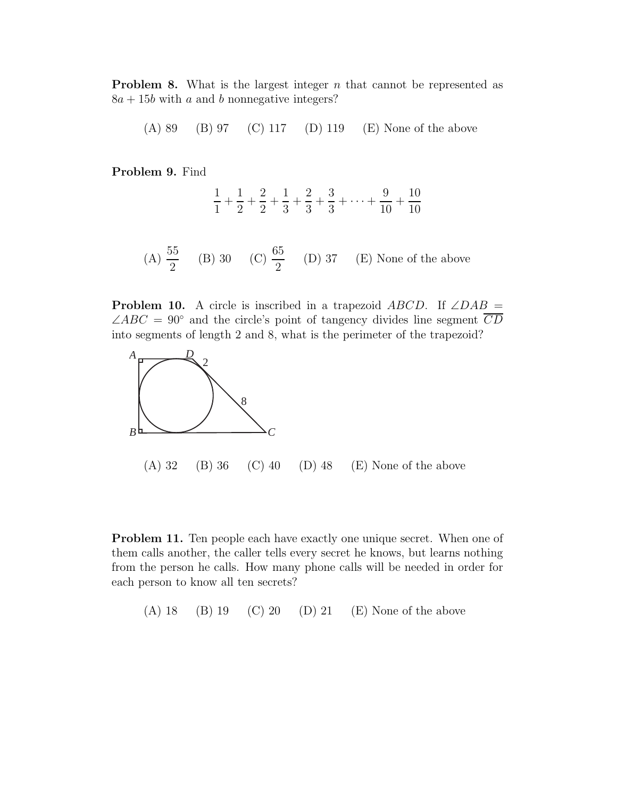**Problem 8.** What is the largest integer  $n$  that cannot be represented as  $8a + 15b$  with a and b nonnegative integers?

(A) 89 (B) 97 (C) 117 (D) 119 (E) None of the above

Problem 9. Find

$$
\frac{1}{1} + \frac{1}{2} + \frac{2}{2} + \frac{1}{3} + \frac{2}{3} + \frac{3}{3} + \dots + \frac{9}{10} + \frac{10}{10}
$$

(A) 
$$
\frac{55}{2}
$$
 (B) 30 (C)  $\frac{65}{2}$  (D) 37 (E) None of the above

**Problem 10.** A circle is inscribed in a trapezoid  $ABCD$ . If  $\angle DAB =$  $\angle ABC = 90^{\circ}$  and the circle's point of tangency divides line segment CD into segments of length 2 and 8, what is the perimeter of the trapezoid?



Problem 11. Ten people each have exactly one unique secret. When one of them calls another, the caller tells every secret he knows, but learns nothing from the person he calls. How many phone calls will be needed in order for each person to know all ten secrets?

(A) 18 (B) 19 (C) 20 (D) 21 (E) None of the above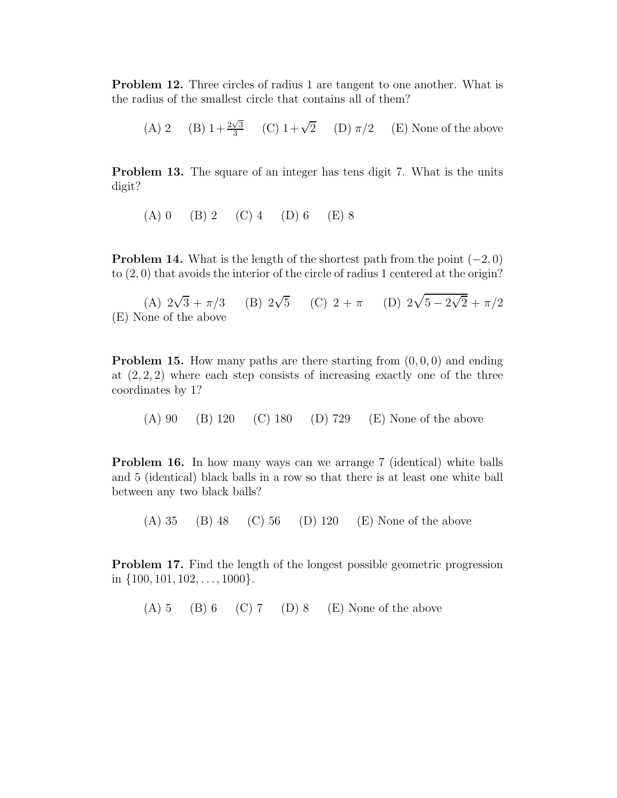Problem 12. Three circles of radius 1 are tangent to one another. What is the radius of the smallest circle that contains all of them?

(A) 2 (B)  $1+\frac{2\sqrt{3}}{3}$  $\frac{\sqrt{3}}{3}$  (C) 1+ $\sqrt{2}$  (D)  $\pi/2$  (E) None of the above

Problem 13. The square of an integer has tens digit 7. What is the units digit?

 $(A) 0 \t(B) 2 \t(C) 4 \t(D) 6 \t(E) 8$ 

**Problem 14.** What is the length of the shortest path from the point  $(-2, 0)$ to (2, 0) that avoids the interior of the circle of radius 1 centered at the origin?

(A)  $2\sqrt{3} + \pi/3$  (B)  $2\sqrt{5}$  (C)  $2 + \pi$  (D)  $2\sqrt{5 - 2\sqrt{2}} + \pi/2$ (E) None of the above

**Problem 15.** How many paths are there starting from  $(0, 0, 0)$  and ending at  $(2, 2, 2)$  where each step consists of increasing exactly one of the three coordinates by 1?

(A) 90 (B) 120 (C) 180 (D) 729 (E) None of the above

Problem 16. In how many ways can we arrange 7 (identical) white balls and 5 (identical) black balls in a row so that there is at least one white ball between any two black balls?

(A) 35 (B) 48 (C) 56 (D) 120 (E) None of the above

Problem 17. Find the length of the longest possible geometric progression in  $\{100, 101, 102, \ldots, 1000\}.$ 

 $(A) 5 (B) 6 (C) 7 (D) 8 (E) None of the above$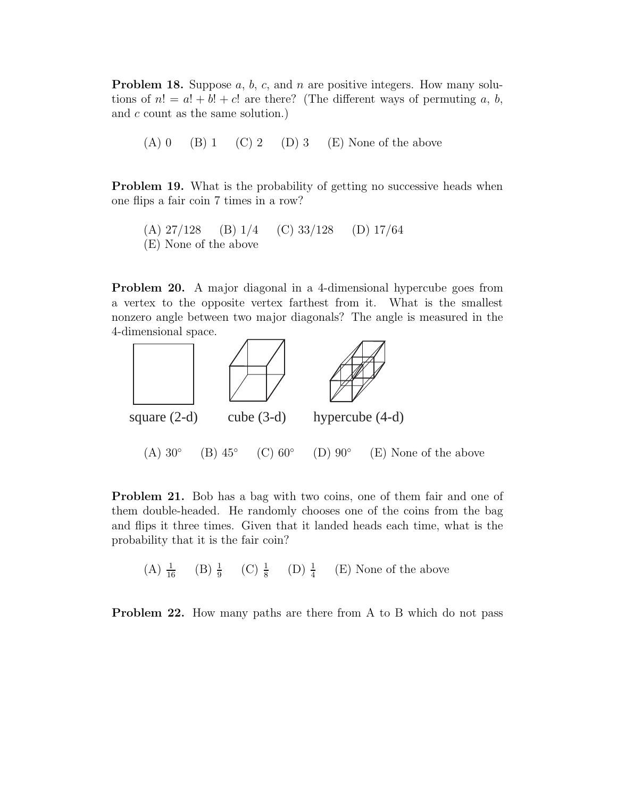**Problem 18.** Suppose  $a, b, c$ , and  $n$  are positive integers. How many solutions of  $n! = a! + b! + c!$  are there? (The different ways of permuting a, b, and c count as the same solution.)

 $(A) 0 \t(B) 1 \t(C) 2 \t(D) 3 \t(E)$  None of the above

**Problem 19.** What is the probability of getting no successive heads when one flips a fair coin 7 times in a row?

(A) 27/128 (B) 1/4 (C) 33/128 (D) 17/64 (E) None of the above

Problem 20. A major diagonal in a 4-dimensional hypercube goes from a vertex to the opposite vertex farthest from it. What is the smallest nonzero angle between two major diagonals? The angle is measured in the 4-dimensional space.



Problem 21. Bob has a bag with two coins, one of them fair and one of them double-headed. He randomly chooses one of the coins from the bag and flips it three times. Given that it landed heads each time, what is the probability that it is the fair coin?

(A)  $\frac{1}{16}$  (B)  $\frac{1}{9}$  (C)  $\frac{1}{8}$  (D)  $\frac{1}{4}$  (E) None of the above

Problem 22. How many paths are there from A to B which do not pass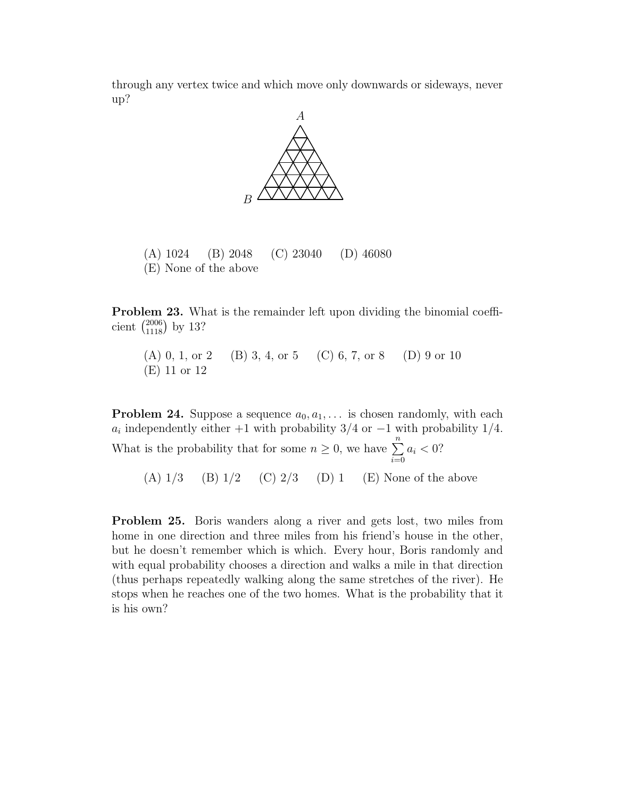through any vertex twice and which move only downwards or sideways, never up?



(A) 1024 (B) 2048 (C) 23040 (D) 46080 (E) None of the above

Problem 23. What is the remainder left upon dividing the binomial coefficient  $\binom{2006}{1118}$  by 13?

(A) 0, 1, or 2 (B) 3, 4, or 5 (C) 6, 7, or 8 (D) 9 or 10 (E) 11 or 12

**Problem 24.** Suppose a sequence  $a_0, a_1, \ldots$  is chosen randomly, with each  $a_i$  independently either +1 with probability 3/4 or -1 with probability 1/4. What is the probability that for some  $n \geq 0$ , we have  $\sum_{i=0}^{n} a_i < 0$ ?

(A)  $1/3$  (B)  $1/2$  (C)  $2/3$  (D) 1 (E) None of the above

Problem 25. Boris wanders along a river and gets lost, two miles from home in one direction and three miles from his friend's house in the other, but he doesn't remember which is which. Every hour, Boris randomly and with equal probability chooses a direction and walks a mile in that direction (thus perhaps repeatedly walking along the same stretches of the river). He stops when he reaches one of the two homes. What is the probability that it is his own?